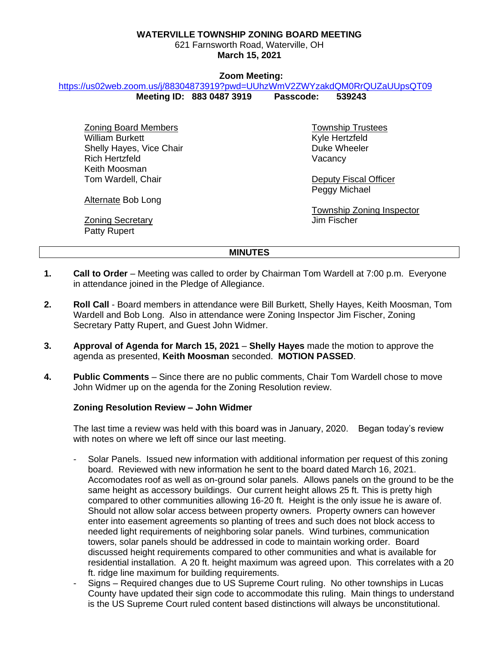### **WATERVILLE TOWNSHIP ZONING BOARD MEETING**

621 Farnsworth Road, Waterville, OH **March 15, 2021**

#### **Zoom Meeting:**

<https://us02web.zoom.us/j/88304873919?pwd=UUhzWmV2ZWYzakdQM0RrQUZaUUpsQT09>

**Meeting ID: 883 0487 3919 Passcode: 539243** 

Zoning Board Members William Burkett Shelly Hayes, Vice Chair Rich Hertzfeld Keith Moosman Tom Wardell, Chair

Township Trustees Kyle Hertzfeld Duke Wheeler **Vacancy** 

Deputy Fiscal Officer Peggy Michael

Township Zoning Inspector Jim Fischer

Alternate Bob Long

Zoning Secretary Patty Rupert

#### **MINUTES**

- **1. Call to Order** Meeting was called to order by Chairman Tom Wardell at 7:00 p.m. Everyone in attendance joined in the Pledge of Allegiance.
- **2. Roll Call** Board members in attendance were Bill Burkett, Shelly Hayes, Keith Moosman, Tom Wardell and Bob Long. Also in attendance were Zoning Inspector Jim Fischer, Zoning Secretary Patty Rupert, and Guest John Widmer.
- **3. Approval of Agenda for March 15, 2021 Shelly Hayes** made the motion to approve the agenda as presented, **Keith Moosman** seconded. **MOTION PASSED**.
- **4. Public Comments** Since there are no public comments, Chair Tom Wardell chose to move John Widmer up on the agenda for the Zoning Resolution review.

## **Zoning Resolution Review – John Widmer**

The last time a review was held with this board was in January, 2020. Began today's review with notes on where we left off since our last meeting.

- Solar Panels. Issued new information with additional information per request of this zoning board. Reviewed with new information he sent to the board dated March 16, 2021. Accomodates roof as well as on-ground solar panels. Allows panels on the ground to be the same height as accessory buildings. Our current height allows 25 ft. This is pretty high compared to other communities allowing 16-20 ft. Height is the only issue he is aware of. Should not allow solar access between property owners. Property owners can however enter into easement agreements so planting of trees and such does not block access to needed light requirements of neighboring solar panels. Wind turbines, communication towers, solar panels should be addressed in code to maintain working order. Board discussed height requirements compared to other communities and what is available for residential installation. A 20 ft. height maximum was agreed upon. This correlates with a 20 ft. ridge line maximum for building requirements.
- Signs Required changes due to US Supreme Court ruling. No other townships in Lucas County have updated their sign code to accommodate this ruling. Main things to understand is the US Supreme Court ruled content based distinctions will always be unconstitutional.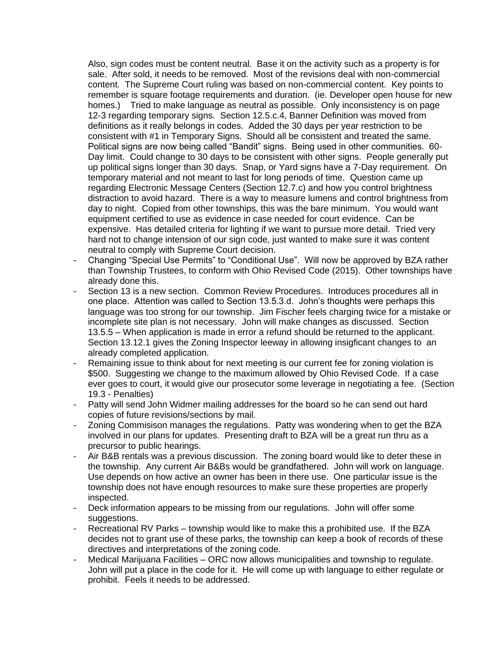Also, sign codes must be content neutral. Base it on the activity such as a property is for sale. After sold, it needs to be removed. Most of the revisions deal with non-commercial content. The Supreme Court ruling was based on non-commercial content. Key points to remember is square footage requirements and duration. (ie. Developer open house for new homes.) Tried to make language as neutral as possible. Only inconsistency is on page 12-3 regarding temporary signs. Section 12.5.c.4, Banner Definition was moved from definitions as it really belongs in codes. Added the 30 days per year restriction to be consistent with #1 in Temporary Signs. Should all be consistent and treated the same. Political signs are now being called "Bandit" signs. Being used in other communities. 60- Day limit. Could change to 30 days to be consistent with other signs. People generally put up political signs longer than 30 days. Snap, or Yard signs have a 7-Day requirement. On temporary material and not meant to last for long periods of time. Question came up regarding Electronic Message Centers (Section 12.7.c) and how you control brightness distraction to avoid hazard. There is a way to measure lumens and control brightness from day to night. Copied from other townships, this was the bare minimum. You would want equipment certified to use as evidence in case needed for court evidence. Can be expensive. Has detailed criteria for lighting if we want to pursue more detail. Tried very hard not to change intension of our sign code, just wanted to make sure it was content neutral to comply with Supreme Court decision.

- Changing "Special Use Permits" to "Conditional Use". Will now be approved by BZA rather than Township Trustees, to conform with Ohio Revised Code (2015). Other townships have already done this.
- Section 13 is a new section. Common Review Procedures. Introduces procedures all in one place. Attention was called to Section 13.5.3.d. John's thoughts were perhaps this language was too strong for our township. Jim Fischer feels charging twice for a mistake or incomplete site plan is not necessary. John will make changes as discussed. Section 13.5.5 – When application is made in error a refund should be returned to the applicant. Section 13.12.1 gives the Zoning Inspector leeway in allowing insigficant changes to an already completed application.
- Remaining issue to think about for next meeting is our current fee for zoning violation is \$500. Suggesting we change to the maximum allowed by Ohio Revised Code. If a case ever goes to court, it would give our prosecutor some leverage in negotiating a fee. (Section 19.3 - Penalties)
- Patty will send John Widmer mailing addresses for the board so he can send out hard copies of future revisions/sections by mail.
- Zoning Commisison manages the regulations. Patty was wondering when to get the BZA involved in our plans for updates. Presenting draft to BZA will be a great run thru as a precursor to public hearings.
- Air B&B rentals was a previous discussion. The zoning board would like to deter these in the township. Any current Air B&Bs would be grandfathered. John will work on language. Use depends on how active an owner has been in there use. One particular issue is the township does not have enough resources to make sure these properties are properly inspected.
- Deck information appears to be missing from our regulations. John will offer some suggestions.
- Recreational RV Parks township would like to make this a prohibited use. If the BZA decides not to grant use of these parks, the township can keep a book of records of these directives and interpretations of the zoning code.
- Medical Marijuana Facilities ORC now allows municipalities and township to regulate. John will put a place in the code for it. He will come up with language to either regulate or prohibit. Feels it needs to be addressed.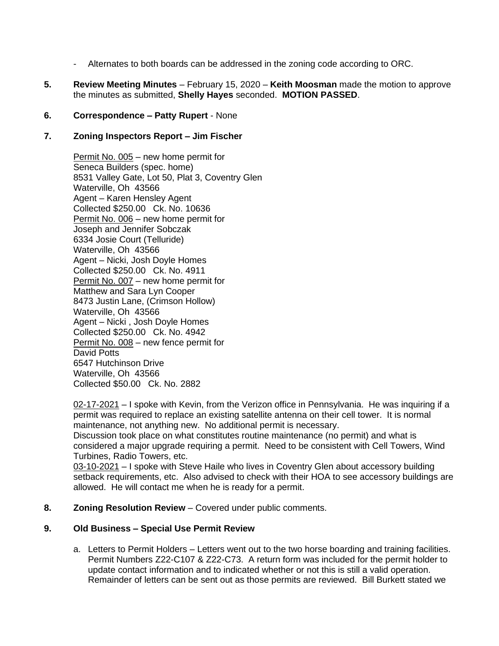- Alternates to both boards can be addressed in the zoning code according to ORC.
- **5. Review Meeting Minutes** February 15, 2020 **Keith Moosman** made the motion to approve the minutes as submitted, **Shelly Hayes** seconded. **MOTION PASSED**.

# **6. Correspondence – Patty Rupert** - None

## **7. Zoning Inspectors Report – Jim Fischer**

Permit No. 005 – new home permit for Seneca Builders (spec. home) 8531 Valley Gate, Lot 50, Plat 3, Coventry Glen Waterville, Oh 43566 Agent – Karen Hensley Agent Collected \$250.00 Ck. No. 10636 Permit No. 006 – new home permit for Joseph and Jennifer Sobczak 6334 Josie Court (Telluride) Waterville, Oh 43566 Agent – Nicki, Josh Doyle Homes Collected \$250.00 Ck. No. 4911 Permit No. 007 – new home permit for Matthew and Sara Lyn Cooper 8473 Justin Lane, (Crimson Hollow) Waterville, Oh 43566 Agent – Nicki , Josh Doyle Homes Collected \$250.00 Ck. No. 4942 Permit No. 008 – new fence permit for David Potts 6547 Hutchinson Drive Waterville, Oh 43566 Collected \$50.00 Ck. No. 2882

02-17-2021 – I spoke with Kevin, from the Verizon office in Pennsylvania. He was inquiring if a permit was required to replace an existing satellite antenna on their cell tower. It is normal maintenance, not anything new. No additional permit is necessary.

Discussion took place on what constitutes routine maintenance (no permit) and what is considered a major upgrade requiring a permit. Need to be consistent with Cell Towers, Wind Turbines, Radio Towers, etc.

03-10-2021 – I spoke with Steve Haile who lives in Coventry Glen about accessory building setback requirements, etc. Also advised to check with their HOA to see accessory buildings are allowed. He will contact me when he is ready for a permit.

**8. Zoning Resolution Review** – Covered under public comments.

# **9. Old Business – Special Use Permit Review**

a. Letters to Permit Holders – Letters went out to the two horse boarding and training facilities. Permit Numbers Z22-C107 & Z22-C73. A return form was included for the permit holder to update contact information and to indicated whether or not this is still a valid operation. Remainder of letters can be sent out as those permits are reviewed. Bill Burkett stated we